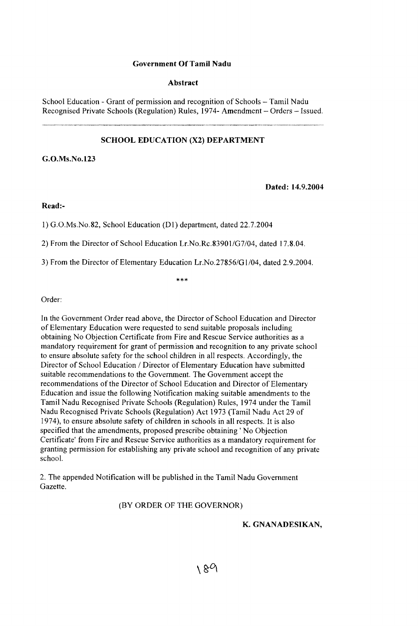## **Government Of Tamil Nadu**

### **Abstract**

School Education - Grant of permission and recognition of Schools - Tamil Nadu Recognised Private Schools (Regulation) Rules, 1974- Amendment – Orders – Issued.

## **SCHOOL EDUCATION (X2) DEPARTMENT**

**G.O.Ms.No.l23**

**Dated: 14.9.2004**

**Read:-**

1) G.O.Ms.No.82, School Education (D1) department, dated 22.7.2004

2) From the Director of School Education Lr.No.Rc.83901/G7/04, dated 17.8.04.

3) From the Director of Elementary Education Lr.No.27856/G1/04, dated 2.9.2004.

 $* * *$ 

Order:

In the Government Order read above, the Director of School Education and Director of Elementary Education were requested to send suitable proposals including obtaining No Objection Certificate from Fire and Rescue Service authorities as a mandatory requirement for grant of permission and recognition to any private school to ensure absolute safety for the school children in all respects. Accordingly, the Director of School Education / Director of Elementary Education have submitted suitable recommendations to the Government. The Government accept the recommendations of the Director of School Education and Director of Elementary Education and issue the following Notification making suitable amendments to the Tamil Nadu Recognised Private Schools (Regulation) Rules, 1974 under the Tamil Nadu Recognised Private Schools (Regulation) Act 1973 (Tamil Nadu Act 29 of 1974), to ensure absolute safety of children in schools in all respects. It is also specified that the amendments, proposed prescribe obtaining ' No Objection Certificate' from Fire and Rescue Service authorities as a mandatory requirement for granting permission for establishing any private school and recognition of any private school.

2. The appended Notification will be published in the Tamil Nadu Government Gazette.

# (BY ORDER OF THE GOVERNOR)

**K. GNANADESIKAN,**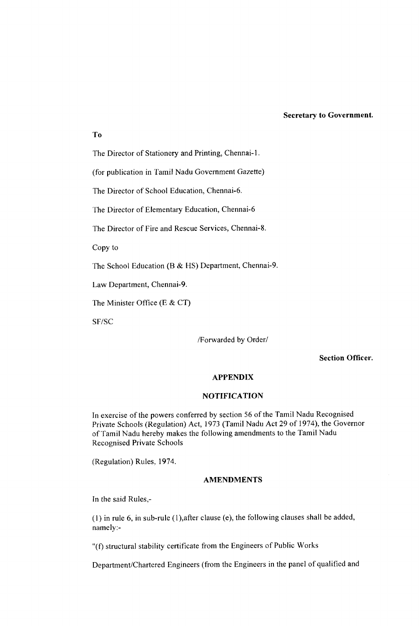#### **Secretary to Government.**

**To**

The Director of Stationery and Printing, Chennai-1.

(for publication in Tamil Nadu Government Gazette)

The Director of School Education, Chennai-6.

The Director of Elementary Education, Chennai-6

The Director of Fire and Rescue Services, Chennai-8.

Copy to

The School Education (B  $&$  HS) Department, Chennai-9.

Law Department, Chennai-9.

The Minister Office (E  $&CT$ )

SF/SC

/Forwarded by Order/

**Section Officer.**

#### **APPENDIX**

## **NOTIFICATION**

In exercise of the powers conferred by section 56 of the Tamil Nadu Recognised Private Schools (Regulation) Act, 1973 (Tamil Nadu Act 29 of 1974), the Governor of Tamil Nadu hereby makes the following amendments to the Tamil Nadu R ecognised Private Schools

(Regulation) Rules, 1974.

# **AMENDMENTS**

In the said Rules,-

(1) in rule 6, in sub-rule  $(1)$ , after clause (e), the following clauses shall be added, namely:-

"(f) structural stability certificate from the Engineers of Public Works

Department/Chartered Engineers (from the Engineers in the panel of qualified and